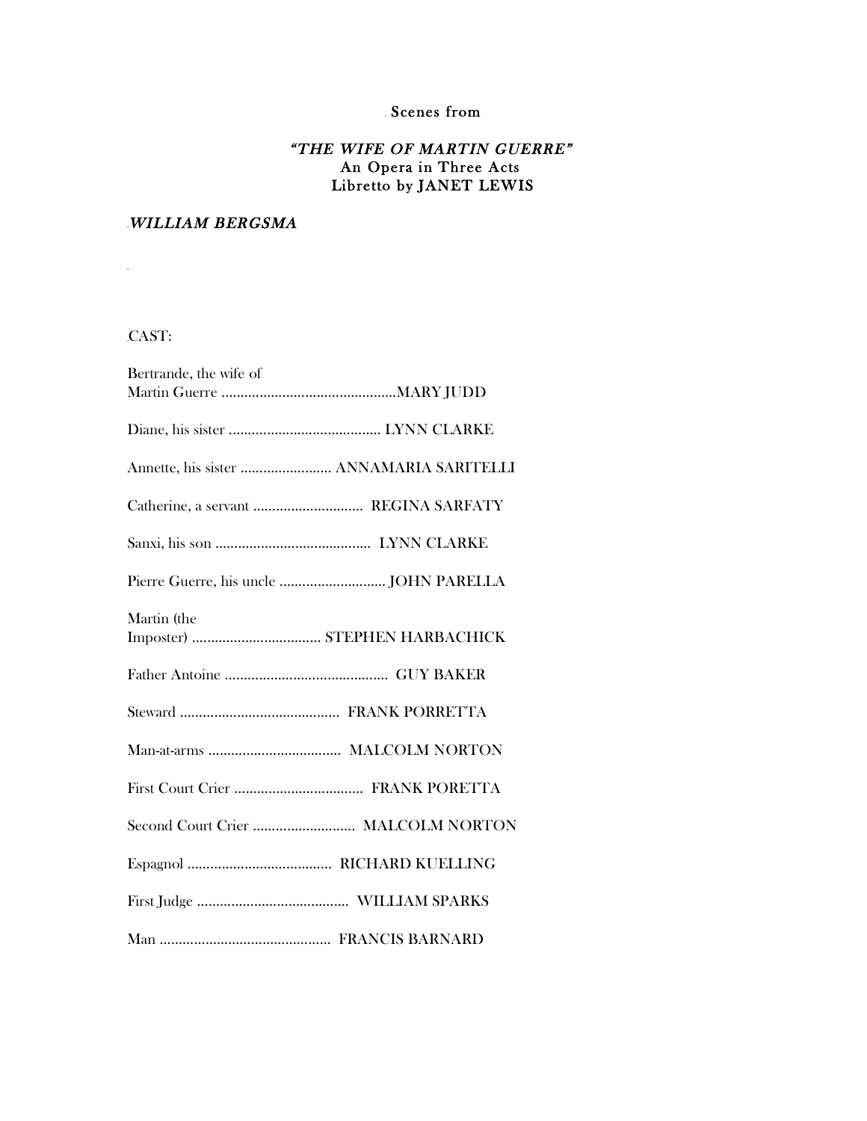# Scenes from

## "THE WIFE OF MARTIN GUERRE" An Opera in Three Acts Libretto by JANET LEWIS

## WILLIAM BERGSMA

CAST:

 $\mathcal{L}^{\text{max}}$ 

| Bertrande, the wife of                   |
|------------------------------------------|
|                                          |
|                                          |
| Annette, his sister  ANNAMARIA SARITELLI |
| Catherine, a servant  REGINA SARFATY     |
|                                          |
|                                          |
| Martin (the                              |
|                                          |
|                                          |
|                                          |
|                                          |
| Second Court Crier  MALCOLM NORTON       |
|                                          |
|                                          |
|                                          |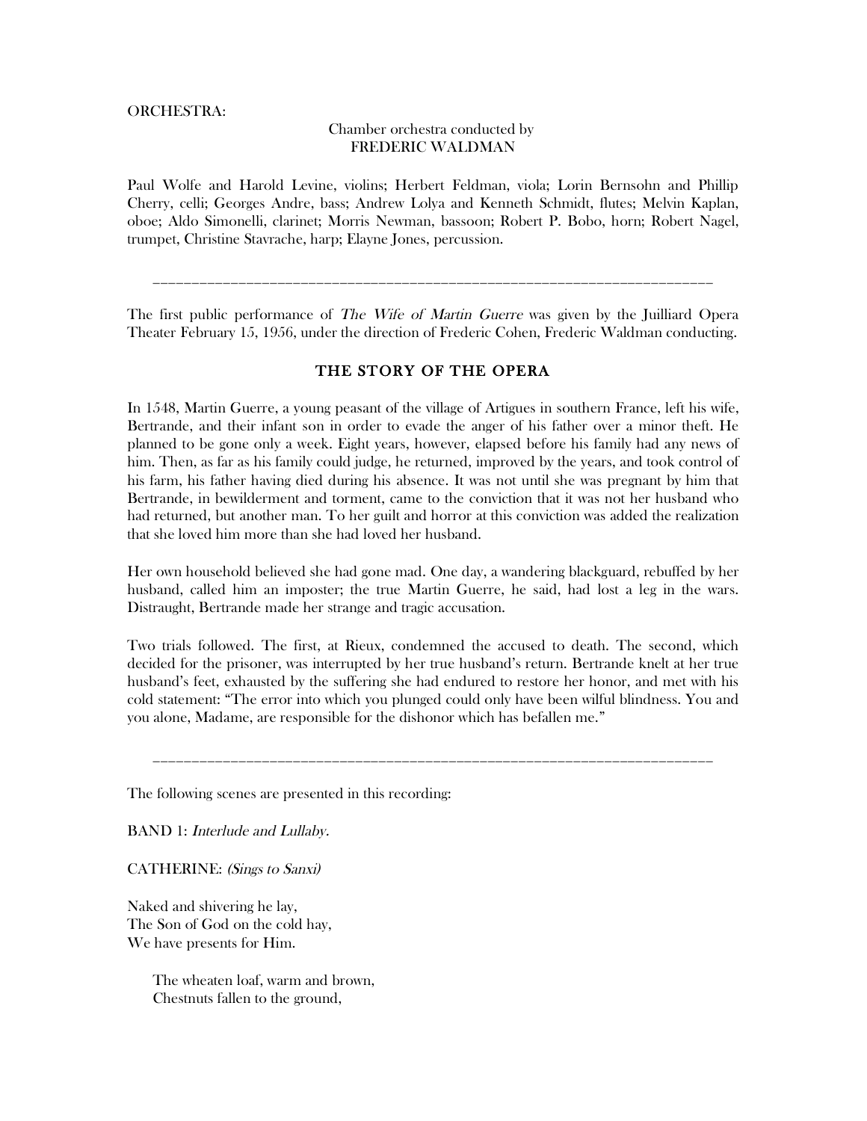### ORCHESTRA:

### Chamber orchestra conducted by FREDERIC WALDMAN

Paul Wolfe and Harold Levine, violins; Herbert Feldman, viola; Lorin Bernsohn and Phillip Cherry, celli; Georges Andre, bass; Andrew Lolya and Kenneth Schmidt, flutes; Melvin Kaplan, oboe; Aldo Simonelli, clarinet; Morris Newman, bassoon; Robert P. Bobo, horn; Robert Nagel, trumpet, Christine Stavrache, harp; Elayne Jones, percussion.

The first public performance of *The Wife of Martin Guerre* was given by the Juilliard Opera Theater February 15, 1956, under the direction of Frederic Cohen, Frederic Waldman conducting.

\_\_\_\_\_\_\_\_\_\_\_\_\_\_\_\_\_\_\_\_\_\_\_\_\_\_\_\_\_\_\_\_\_\_\_\_\_\_\_\_\_\_\_\_\_\_\_\_\_\_\_\_\_\_\_\_\_\_\_\_\_\_\_\_\_\_\_\_\_\_\_\_

## THE STORY OF THE OPERA

In 1548, Martin Guerre, a young peasant of the village of Artigues in southern France, left his wife, Bertrande, and their infant son in order to evade the anger of his father over a minor theft. He planned to be gone only a week. Eight years, however, elapsed before his family had any news of him. Then, as far as his family could judge, he returned, improved by the years, and took control of his farm, his father having died during his absence. It was not until she was pregnant by him that Bertrande, in bewilderment and torment, came to the conviction that it was not her husband who had returned, but another man. To her guilt and horror at this conviction was added the realization that she loved him more than she had loved her husband.

Her own household believed she had gone mad. One day, a wandering blackguard, rebuffed by her husband, called him an imposter; the true Martin Guerre, he said, had lost a leg in the wars. Distraught, Bertrande made her strange and tragic accusation.

Two trials followed. The first, at Rieux, condemned the accused to death. The second, which decided for the prisoner, was interrupted by her true husband's return. Bertrande knelt at her true husband's feet, exhausted by the suffering she had endured to restore her honor, and met with his cold statement: "The error into which you plunged could only have been wilful blindness. You and you alone, Madame, are responsible for the dishonor which has befallen me."

\_\_\_\_\_\_\_\_\_\_\_\_\_\_\_\_\_\_\_\_\_\_\_\_\_\_\_\_\_\_\_\_\_\_\_\_\_\_\_\_\_\_\_\_\_\_\_\_\_\_\_\_\_\_\_\_\_\_\_\_\_\_\_\_\_\_\_\_\_\_\_\_

The following scenes are presented in this recording:

BAND 1: Interlude and Lullaby.

CATHERINE: (Sings to Sanxi)

Naked and shivering he lay, The Son of God on the cold hay, We have presents for Him.

> The wheaten loaf, warm and brown, Chestnuts fallen to the ground,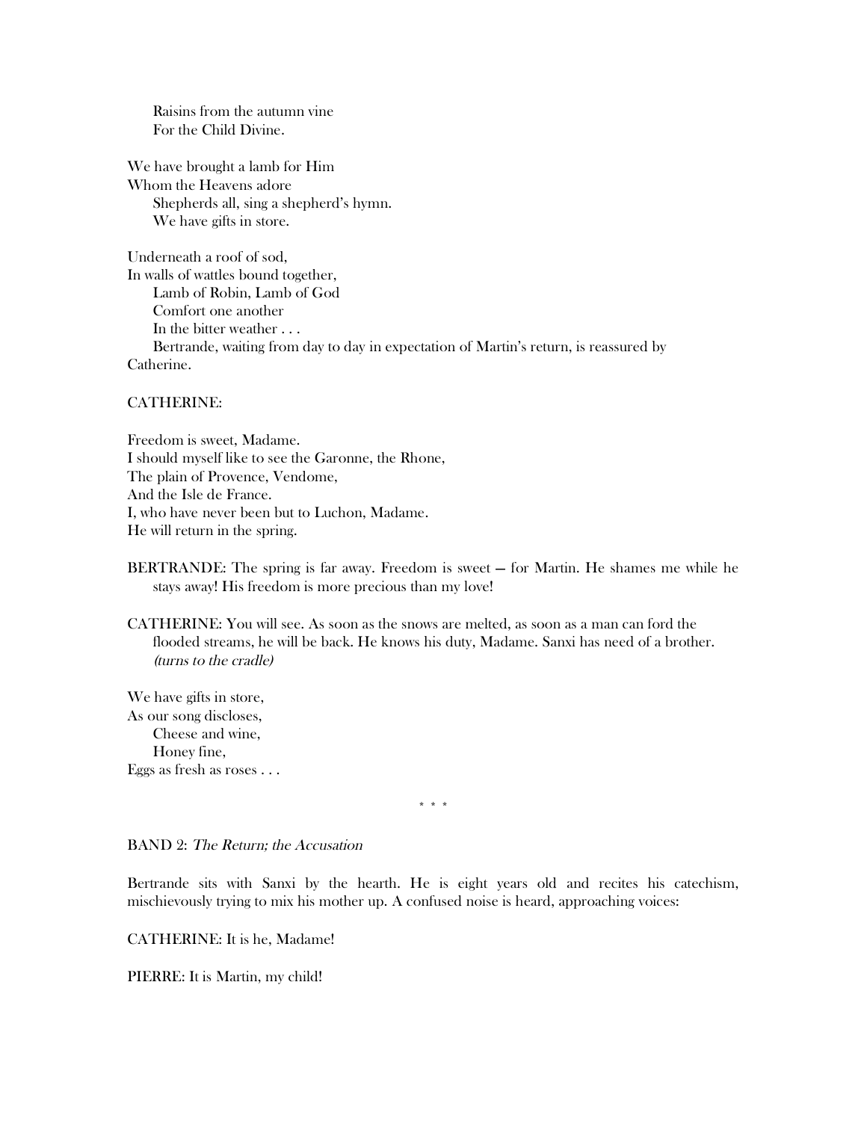Raisins from the autumn vine For the Child Divine.

We have brought a lamb for Him Whom the Heavens adore Shepherds all, sing a shepherd's hymn. We have gifts in store.

Underneath a roof of sod, In walls of wattles bound together, Lamb of Robin, Lamb of God Comfort one another In the bitter weather . . . Bertrande, waiting from day to day in expectation of Martin's return, is reassured by Catherine.

### CATHERINE:

Freedom is sweet, Madame. I should myself like to see the Garonne, the Rhone, The plain of Provence, Vendome, And the Isle de France. I, who have never been but to Luchon, Madame. He will return in the spring.

- BERTRANDE: The spring is far away. Freedom is sweet for Martin. He shames me while he stays away! His freedom is more precious than my love!
- CATHERINE: You will see. As soon as the snows are melted, as soon as a man can ford the flooded streams, he will be back. He knows his duty, Madame. Sanxi has need of a brother. (turns to the cradle)

We have gifts in store, As our song discloses, Cheese and wine, Honey fine, Eggs as fresh as roses . . .

\* \* \*

### BAND 2: The Return; the Accusation

Bertrande sits with Sanxi by the hearth. He is eight years old and recites his catechism, mischievously trying to mix his mother up. A confused noise is heard, approaching voices:

CATHERINE: It is he, Madame!

PIERRE: It is Martin, my child!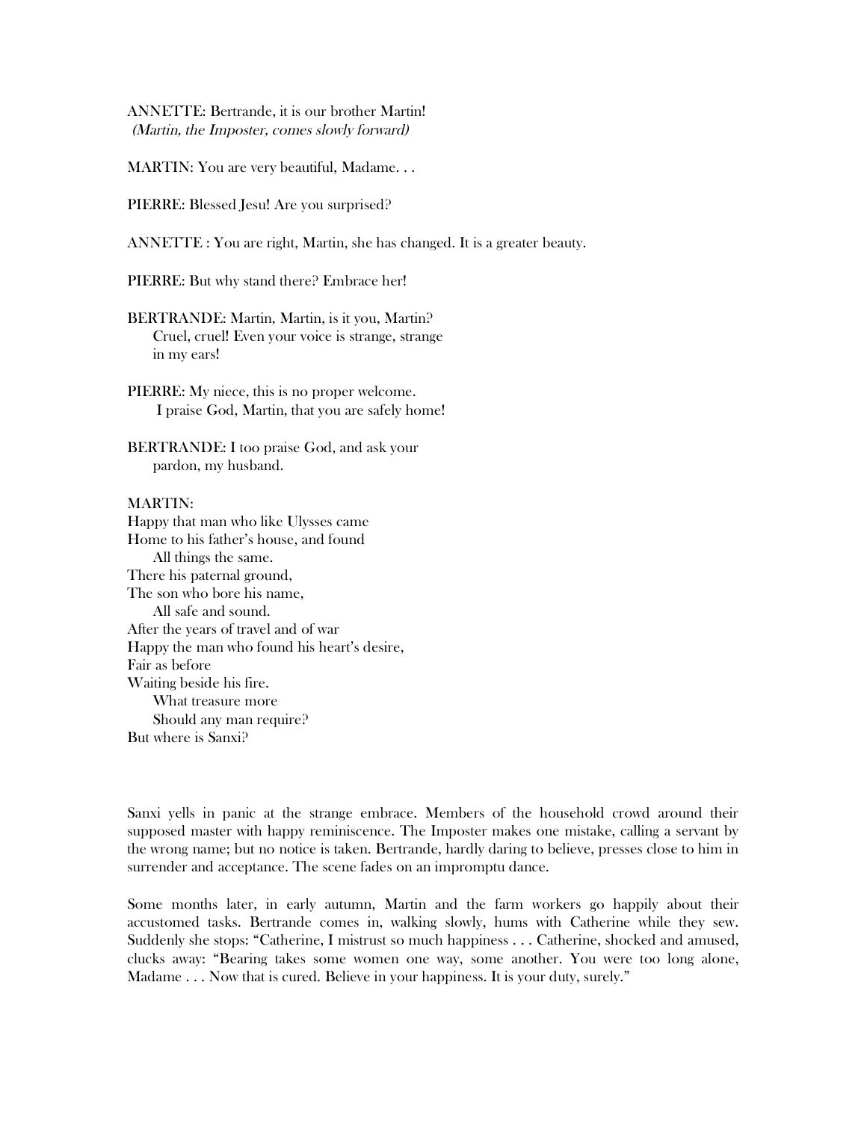ANNETTE: Bertrande, it is our brother Martin! (Martin, the Imposter, comes slowly forward)

MARTIN: You are very beautiful, Madame. . .

PIERRE: Blessed Jesu! Are you surprised?

ANNETTE : You are right, Martin, she has changed. It is a greater beauty.

PIERRE: But why stand there? Embrace her!

BERTRANDE: Martin, Martin, is it you, Martin? Cruel, cruel! Even your voice is strange, strange in my ears!

PIERRE: My niece, this is no proper welcome. I praise God, Martin, that you are safely home!

BERTRANDE: I too praise God, and ask your pardon, my husband.

#### MARTIN:

Happy that man who like Ulysses came Home to his father's house, and found All things the same. There his paternal ground, The son who bore his name, All safe and sound. After the years of travel and of war Happy the man who found his heart's desire, Fair as before Waiting beside his fire. What treasure more Should any man require? But where is Sanxi?

Sanxi yells in panic at the strange embrace. Members of the household crowd around their supposed master with happy reminiscence. The Imposter makes one mistake, calling a servant by the wrong name; but no notice is taken. Bertrande, hardly daring to believe, presses close to him in surrender and acceptance. The scene fades on an impromptu dance.

Some months later, in early autumn, Martin and the farm workers go happily about their accustomed tasks. Bertrande comes in, walking slowly, hums with Catherine while they sew. Suddenly she stops: "Catherine, I mistrust so much happiness . . . Catherine, shocked and amused, clucks away: "Bearing takes some women one way, some another. You were too long alone, Madame . . . Now that is cured. Believe in your happiness. It is your duty, surely."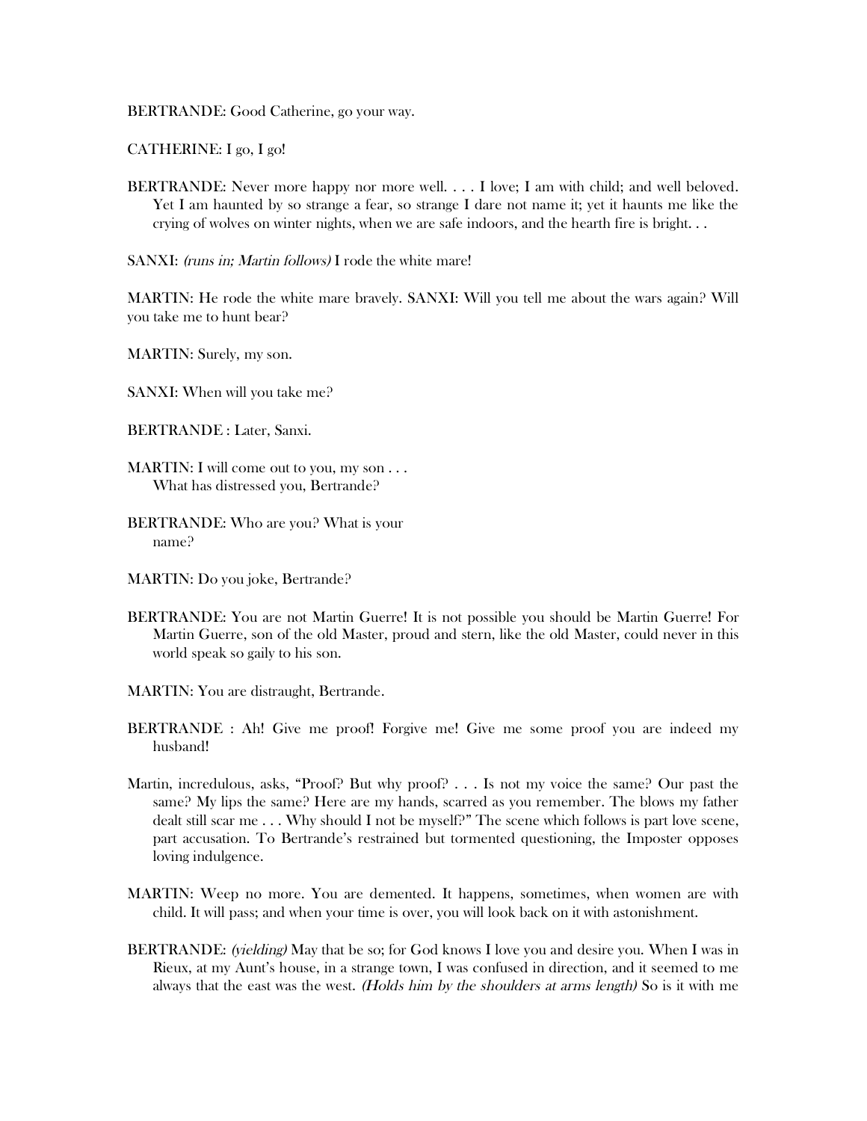BERTRANDE: Good Catherine, go your way.

CATHERINE: I go, I go!

- BERTRANDE: Never more happy nor more well. . . . I love; I am with child; and well beloved. Yet I am haunted by so strange a fear, so strange I dare not name it; yet it haunts me like the crying of wolves on winter nights, when we are safe indoors, and the hearth fire is bright. . .
- SANXI: (runs in; Martin follows) I rode the white mare!

MARTIN: He rode the white mare bravely. SANXI: Will you tell me about the wars again? Will you take me to hunt bear?

MARTIN: Surely, my son.

SANXI: When will you take me?

BERTRANDE : Later, Sanxi.

- MARTIN: I will come out to you, my son . . . What has distressed you, Bertrande?
- BERTRANDE: Who are you? What is your name?
- MARTIN: Do you joke, Bertrande?
- BERTRANDE: You are not Martin Guerre! It is not possible you should be Martin Guerre! For Martin Guerre, son of the old Master, proud and stern, like the old Master, could never in this world speak so gaily to his son.
- MARTIN: You are distraught, Bertrande.
- BERTRANDE : Ah! Give me proof! Forgive me! Give me some proof you are indeed my husband!
- Martin, incredulous, asks, "Proof? But why proof? . . . Is not my voice the same? Our past the same? My lips the same? Here are my hands, scarred as you remember. The blows my father dealt still scar me . . . Why should I not be myself?" The scene which follows is part love scene, part accusation. To Bertrande's restrained but tormented questioning, the Imposter opposes loving indulgence.
- MARTIN: Weep no more. You are demented. It happens, sometimes, when women are with child. It will pass; and when your time is over, you will look back on it with astonishment.
- BERTRANDE: *(yielding)* May that be so; for God knows I love you and desire you. When I was in Rieux, at my Aunt's house, in a strange town, I was confused in direction, and it seemed to me always that the east was the west. (Holds him by the shoulders at arms length) So is it with me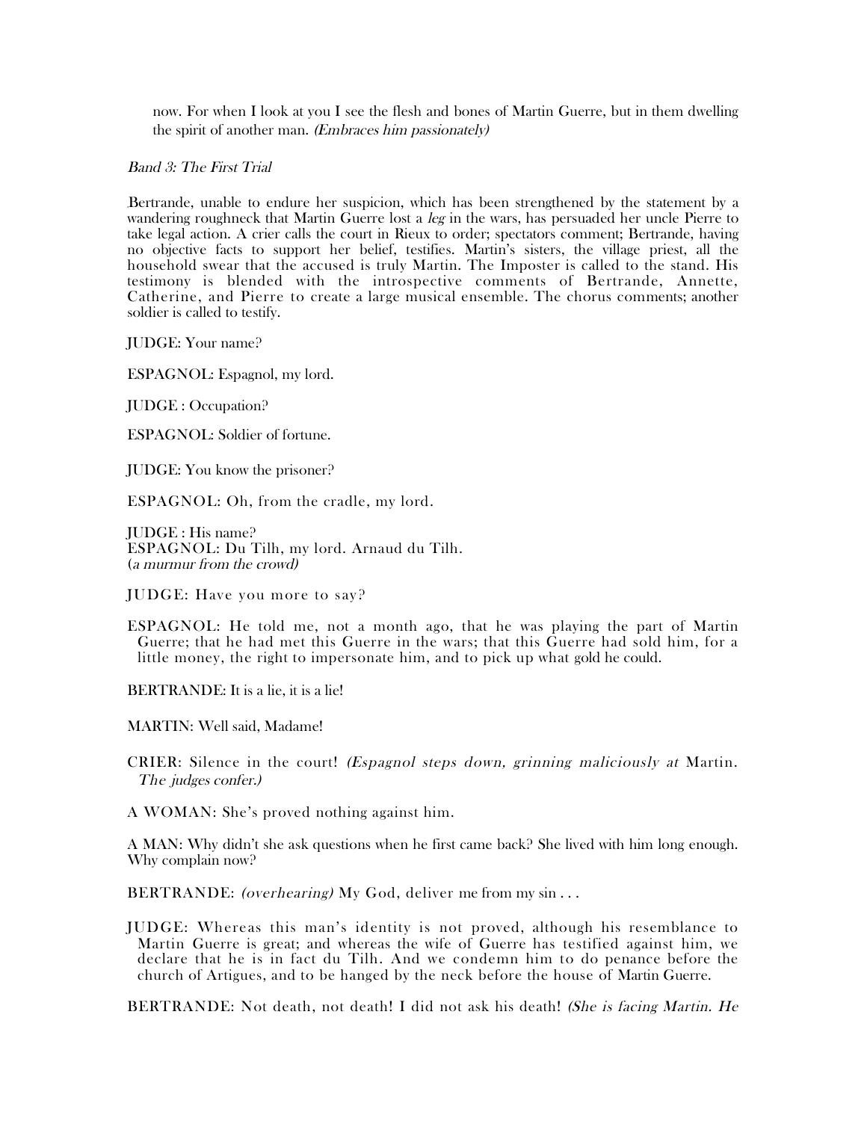now. For when I look at you I see the flesh and bones of Martin Guerre, but in them dwelling the spirit of another man. (Embraces him passionately)

Band 3: The First Trial

Bertrande, unable to endure her suspicion, which has been strengthened by the statement by a wandering roughneck that Martin Guerre lost a leg in the wars, has persuaded her uncle Pierre to take legal action. A crier calls the court in Rieux to order; spectators comment; Bertrande, having no objective facts to support her belief, testifies. Martin's sisters, the village priest, all the household swear that the accused is truly Martin. The Imposter is called to the stand. His testimony is blended with the introspective comments of Bertrande, Annette, Catherine, and Pierre to create a large musical ensemble. The chorus comments; another soldier is called to testify.

JUDGE: Your name?

ESPAGNOL: Espagnol, my lord.

JUDGE : Occupation?

ESPAGNOL: Soldier of fortune.

JUDGE: You know the prisoner?

ESPAGNOL: Oh, from the cradle, my lord.

JUDGE : His name? ESPAGNOL: Du Tilh, my lord. Arnaud du Tilh. (a murmur from the crowd)

JUDGE: Have you more to say?

ESPAGNOL: He told me, not a month ago, that he was playing the part of Martin Guerre; that he had met this Guerre in the wars; that this Guerre had sold him, for a little money, the right to impersonate him, and to pick up what gold he could.

BERTRANDE: It is a lie, it is a lie!

MARTIN: Well said, Madame!

CRIER: Silence in the court! (Espagnol steps down, grinning maliciously at Martin. The judges confer.)

A WOMAN: She's proved nothing against him.

A MAN: Why didn't she ask questions when he first came back? She lived with him long enough. Why complain now?

BERTRANDE: *(overhearing)* My God, deliver me from my sin...

JUDGE: Whereas this man's identity is not proved, although his resemblance to Martin Guerre is great; and whereas the wife of Guerre has testified against him, we declare that he is in fact du Tilh. And we condemn him to do penance before the church of Artigues, and to be hanged by the neck before the house of Martin Guerre.

BERTRANDE: Not death, not death! I did not ask his death! (She is facing Martin. He